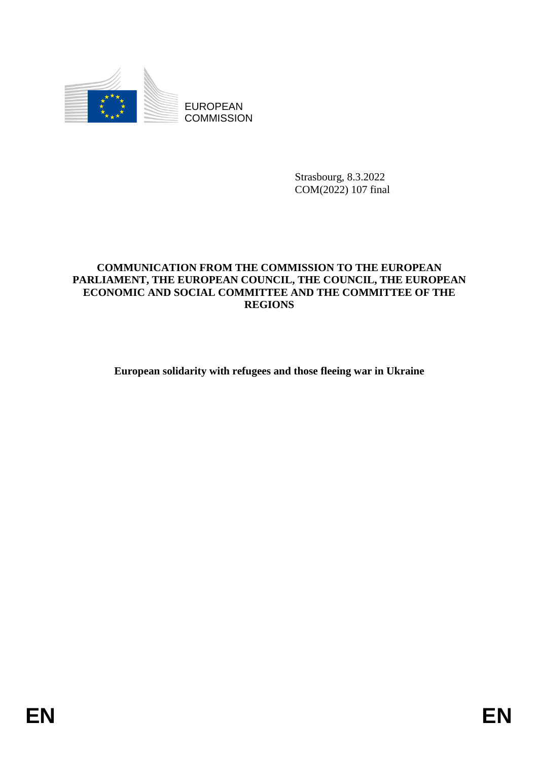

EUROPEAN **COMMISSION** 

> Strasbourg, 8.3.2022 COM(2022) 107 final

# **COMMUNICATION FROM THE COMMISSION TO THE EUROPEAN PARLIAMENT, THE EUROPEAN COUNCIL, THE COUNCIL, THE EUROPEAN ECONOMIC AND SOCIAL COMMITTEE AND THE COMMITTEE OF THE REGIONS**

**European solidarity with refugees and those fleeing war in Ukraine**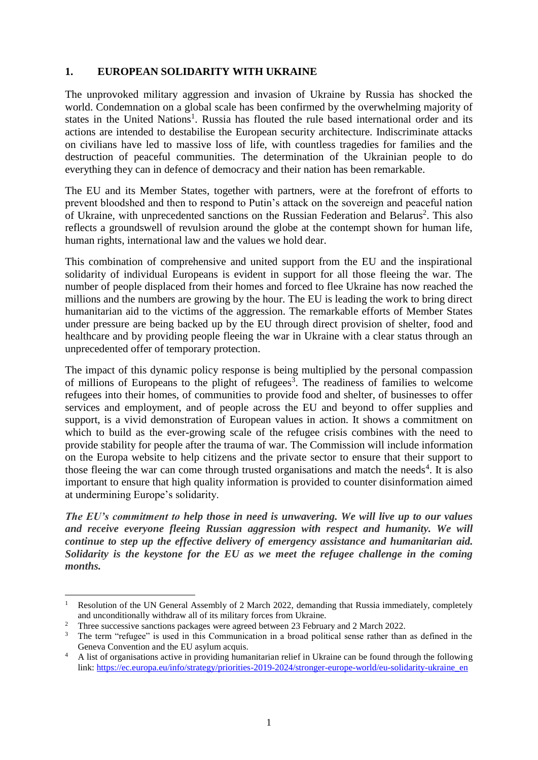# **1. EUROPEAN SOLIDARITY WITH UKRAINE**

The unprovoked military aggression and invasion of Ukraine by Russia has shocked the world. Condemnation on a global scale has been confirmed by the overwhelming majority of states in the United Nations<sup>1</sup>. Russia has flouted the rule based international order and its actions are intended to destabilise the European security architecture. Indiscriminate attacks on civilians have led to massive loss of life, with countless tragedies for families and the destruction of peaceful communities. The determination of the Ukrainian people to do everything they can in defence of democracy and their nation has been remarkable.

The EU and its Member States, together with partners, were at the forefront of efforts to prevent bloodshed and then to respond to Putin's attack on the sovereign and peaceful nation of Ukraine, with unprecedented sanctions on the Russian Federation and Belarus<sup>2</sup>. This also reflects a groundswell of revulsion around the globe at the contempt shown for human life, human rights, international law and the values we hold dear.

This combination of comprehensive and united support from the EU and the inspirational solidarity of individual Europeans is evident in support for all those fleeing the war. The number of people displaced from their homes and forced to flee Ukraine has now reached the millions and the numbers are growing by the hour. The EU is leading the work to bring direct humanitarian aid to the victims of the aggression. The remarkable efforts of Member States under pressure are being backed up by the EU through direct provision of shelter, food and healthcare and by providing people fleeing the war in Ukraine with a clear status through an unprecedented offer of temporary protection.

The impact of this dynamic policy response is being multiplied by the personal compassion of millions of Europeans to the plight of refugees<sup>3</sup>. The readiness of families to welcome refugees into their homes, of communities to provide food and shelter, of businesses to offer services and employment, and of people across the EU and beyond to offer supplies and support, is a vivid demonstration of European values in action. It shows a commitment on which to build as the ever-growing scale of the refugee crisis combines with the need to provide stability for people after the trauma of war. The Commission will include information on the Europa website to help citizens and the private sector to ensure that their support to those fleeing the war can come through trusted organisations and match the needs<sup>4</sup>. It is also important to ensure that high quality information is provided to counter disinformation aimed at undermining Europe's solidarity.

*The EU's commitment to help those in need is unwavering. We will live up to our values and receive everyone fleeing Russian aggression with respect and humanity. We will continue to step up the effective delivery of emergency assistance and humanitarian aid. Solidarity is the keystone for the EU as we meet the refugee challenge in the coming months.*

1

Resolution of the UN General Assembly of 2 March 2022, demanding that Russia immediately, completely and unconditionally withdraw all of its military forces from Ukraine.

<sup>&</sup>lt;sup>2</sup> Three successive sanctions packages were agreed between 23 February and 2 March 2022.

<sup>&</sup>lt;sup>3</sup> The term "refugee" is used in this Communication in a broad political sense rather than as defined in the Geneva Convention and the EU asylum acquis.

<sup>&</sup>lt;sup>4</sup> A list of organisations active in providing humanitarian relief in Ukraine can be found through the following link: [https://ec.europa.eu/info/strategy/priorities-2019-2024/stronger-europe-world/eu-solidarity-ukraine\\_en](https://ec.europa.eu/info/strategy/priorities-2019-2024/stronger-europe-world/eu-solidarity-ukraine_en)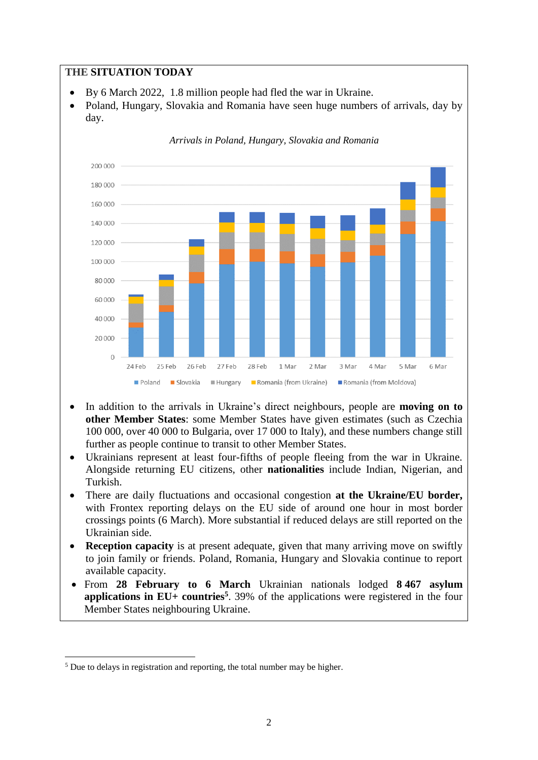## **THE SITUATION TODAY**

- By 6 March 2022, 1.8 million people had fled the war in Ukraine.
- Poland, Hungary, Slovakia and Romania have seen huge numbers of arrivals, day by day.



*Arrivals in Poland, Hungary, Slovakia and Romania* 

- In addition to the arrivals in Ukraine's direct neighbours, people are **moving on to other Member States**: some Member States have given estimates (such as Czechia 100 000, over 40 000 to Bulgaria, over 17 000 to Italy), and these numbers change still further as people continue to transit to other Member States.
- Ukrainians represent at least four-fifths of people fleeing from the war in Ukraine. Alongside returning EU citizens, other **nationalities** include Indian, Nigerian, and Turkish.
- There are daily fluctuations and occasional congestion **at the Ukraine/EU border,**  with Frontex reporting delays on the EU side of around one hour in most border crossings points (6 March). More substantial if reduced delays are still reported on the Ukrainian side.
- **Reception capacity** is at present adequate, given that many arriving move on swiftly to join family or friends. Poland, Romania, Hungary and Slovakia continue to report available capacity.
- From **28 February to 6 March** Ukrainian nationals lodged **8 467 asylum applications in EU+ countries<sup>5</sup>** . 39% of the applications were registered in the four Member States neighbouring Ukraine.

**.** 

<sup>&</sup>lt;sup>5</sup> Due to delays in registration and reporting, the total number may be higher.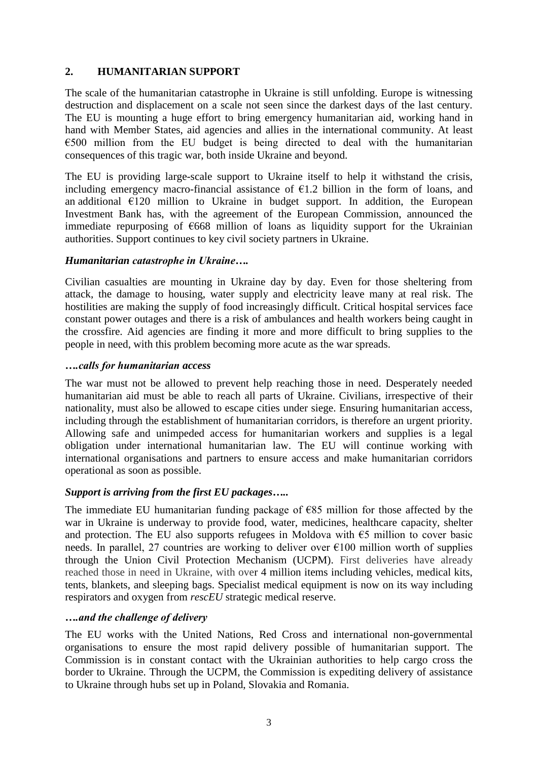# **2. HUMANITARIAN SUPPORT**

The scale of the humanitarian catastrophe in Ukraine is still unfolding. Europe is witnessing destruction and displacement on a scale not seen since the darkest days of the last century. The EU is mounting a huge effort to bring emergency humanitarian aid, working hand in hand with Member States, aid agencies and allies in the international community. At least  $€500$  million from the EU budget is being directed to deal with the humanitarian consequences of this tragic war, both inside Ukraine and beyond.

The EU is providing large-scale support to Ukraine itself to help it withstand the crisis, including emergency macro-financial assistance of  $E1.2$  billion in the form of loans, and an additional  $E120$  million to Ukraine in budget support. In addition, the European Investment Bank has, with the agreement of the European Commission, announced the immediate repurposing of  $\epsilon$ 668 million of loans as liquidity support for the Ukrainian authorities. Support continues to key civil society partners in Ukraine.

### *Humanitarian catastrophe in Ukraine….*

Civilian casualties are mounting in Ukraine day by day. Even for those sheltering from attack, the damage to housing, water supply and electricity leave many at real risk. The hostilities are making the supply of food increasingly difficult. Critical hospital services face constant power outages and there is a risk of ambulances and health workers being caught in the crossfire. Aid agencies are finding it more and more difficult to bring supplies to the people in need, with this problem becoming more acute as the war spreads.

#### *….calls for humanitarian access*

The war must not be allowed to prevent help reaching those in need. Desperately needed humanitarian aid must be able to reach all parts of Ukraine. Civilians, irrespective of their nationality, must also be allowed to escape cities under siege. Ensuring humanitarian access, including through the establishment of humanitarian corridors, is therefore an urgent priority. Allowing safe and unimpeded access for humanitarian workers and supplies is a legal obligation under international humanitarian law. The EU will continue working with international organisations and partners to ensure access and make humanitarian corridors operational as soon as possible.

# *Support is arriving from the first EU packages…..*

The immediate EU humanitarian funding package of  $E$ 85 million for those affected by the war in Ukraine is underway to provide food, water, medicines, healthcare capacity, shelter and protection. The EU also supports refugees in Moldova with  $\epsilon$ 5 million to cover basic needs. In parallel, 27 countries are working to deliver over  $\epsilon$ 100 million worth of supplies through the Union Civil Protection Mechanism (UCPM). First deliveries have already reached those in need in Ukraine, with over 4 million items including vehicles, medical kits, tents, blankets, and sleeping bags. Specialist medical equipment is now on its way including respirators and oxygen from *rescEU* strategic medical reserve.

#### *….and the challenge of delivery*

The EU works with the United Nations, Red Cross and international non-governmental organisations to ensure the most rapid delivery possible of humanitarian support. The Commission is in constant contact with the Ukrainian authorities to help cargo cross the border to Ukraine. Through the UCPM, the Commission is expediting delivery of assistance to Ukraine through hubs set up in Poland, Slovakia and Romania.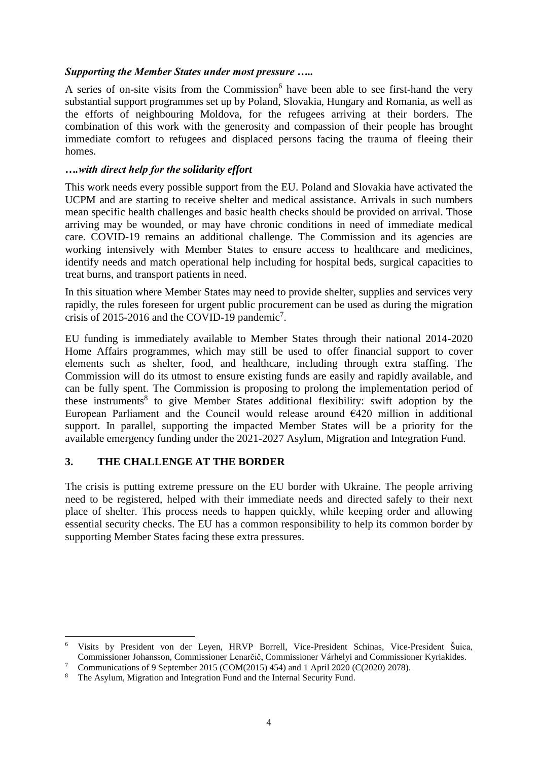### *Supporting the Member States under most pressure …..*

A series of on-site visits from the Commission<sup>6</sup> have been able to see first-hand the very substantial support programmes set up by Poland, Slovakia, Hungary and Romania, as well as the efforts of neighbouring Moldova, for the refugees arriving at their borders. The combination of this work with the generosity and compassion of their people has brought immediate comfort to refugees and displaced persons facing the trauma of fleeing their homes.

### *….with direct help for the solidarity effort*

This work needs every possible support from the EU. Poland and Slovakia have activated the UCPM and are starting to receive shelter and medical assistance. Arrivals in such numbers mean specific health challenges and basic health checks should be provided on arrival. Those arriving may be wounded, or may have chronic conditions in need of immediate medical care. COVID-19 remains an additional challenge. The Commission and its agencies are working intensively with Member States to ensure access to healthcare and medicines, identify needs and match operational help including for hospital beds, surgical capacities to treat burns, and transport patients in need.

In this situation where Member States may need to provide shelter, supplies and services very rapidly, the rules foreseen for urgent public procurement can be used as during the migration crisis of 2015-2016 and the COVID-19 pandemic<sup>7</sup>.

EU funding is immediately available to Member States through their national 2014-2020 Home Affairs programmes, which may still be used to offer financial support to cover elements such as shelter, food, and healthcare, including through extra staffing. The Commission will do its utmost to ensure existing funds are easily and rapidly available, and can be fully spent. The Commission is proposing to prolong the implementation period of these instruments<sup>8</sup> to give Member States additional flexibility: swift adoption by the European Parliament and the Council would release around  $E420$  million in additional support. In parallel, supporting the impacted Member States will be a priority for the available emergency funding under the 2021-2027 Asylum, Migration and Integration Fund.

# **3. THE CHALLENGE AT THE BORDER**

1

The crisis is putting extreme pressure on the EU border with Ukraine. The people arriving need to be registered, helped with their immediate needs and directed safely to their next place of shelter. This process needs to happen quickly, while keeping order and allowing essential security checks. The EU has a common responsibility to help its common border by supporting Member States facing these extra pressures.

<sup>6</sup> Visits by President von der Leyen, HRVP Borrell, Vice-President Schinas, Vice-President Šuica, Commissioner Johansson, Commissioner Lenarčič, Commissioner Várhelyi and Commissioner Kyriakides.

<sup>&</sup>lt;sup>7</sup> Communications of 9 September 2015 (COM(2015) 454) and 1 April 2020 (C(2020) 2078).

<sup>&</sup>lt;sup>8</sup> The Asylum, Migration and Integration Fund and the Internal Security Fund.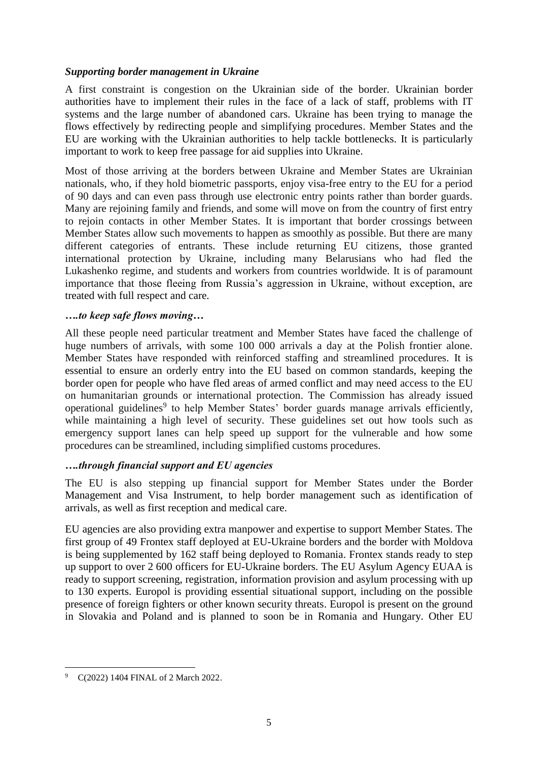### *Supporting border management in Ukraine*

A first constraint is congestion on the Ukrainian side of the border. Ukrainian border authorities have to implement their rules in the face of a lack of staff, problems with IT systems and the large number of abandoned cars. Ukraine has been trying to manage the flows effectively by redirecting people and simplifying procedures. Member States and the EU are working with the Ukrainian authorities to help tackle bottlenecks. It is particularly important to work to keep free passage for aid supplies into Ukraine.

Most of those arriving at the borders between Ukraine and Member States are Ukrainian nationals, who, if they hold biometric passports, enjoy visa-free entry to the EU for a period of 90 days and can even pass through use electronic entry points rather than border guards. Many are rejoining family and friends, and some will move on from the country of first entry to rejoin contacts in other Member States. It is important that border crossings between Member States allow such movements to happen as smoothly as possible. But there are many different categories of entrants. These include returning EU citizens, those granted international protection by Ukraine, including many Belarusians who had fled the Lukashenko regime, and students and workers from countries worldwide. It is of paramount importance that those fleeing from Russia's aggression in Ukraine, without exception, are treated with full respect and care.

### *….to keep safe flows moving…*

All these people need particular treatment and Member States have faced the challenge of huge numbers of arrivals, with some 100 000 arrivals a day at the Polish frontier alone. Member States have responded with reinforced staffing and streamlined procedures. It is essential to ensure an orderly entry into the EU based on common standards, keeping the border open for people who have fled areas of armed conflict and may need access to the EU on humanitarian grounds or international protection. The Commission has already issued [operational guidelines](https://ec.europa.eu/home-affairs/communication-providing-operational-guidelines-external-border-management-eu-ukraine-borders_en)<sup>9</sup> to help Member States' border guards manage arrivals efficiently, while maintaining a high level of security. These guidelines set out how tools such as emergency support lanes can help speed up support for the vulnerable and how some procedures can be streamlined, including simplified customs procedures.

#### *….through financial support and EU agencies*

The EU is also stepping up financial support for Member States under the Border Management and Visa Instrument, to help border management such as identification of arrivals, as well as first reception and medical care.

EU agencies are also providing extra manpower and expertise to support Member States. The first group of 49 Frontex staff deployed at EU-Ukraine borders and the border with Moldova is being supplemented by 162 staff being deployed to Romania. Frontex stands ready to step up support to over 2 600 officers for EU-Ukraine borders. The EU Asylum Agency EUAA is ready to support screening, registration, information provision and asylum processing with up to 130 experts. Europol is providing essential situational support, including on the possible presence of foreign fighters or other known security threats. Europol is present on the ground in Slovakia and Poland and is planned to soon be in Romania and Hungary. Other EU

<sup>1</sup> C(2022) 1404 FINAL of 2 March 2022.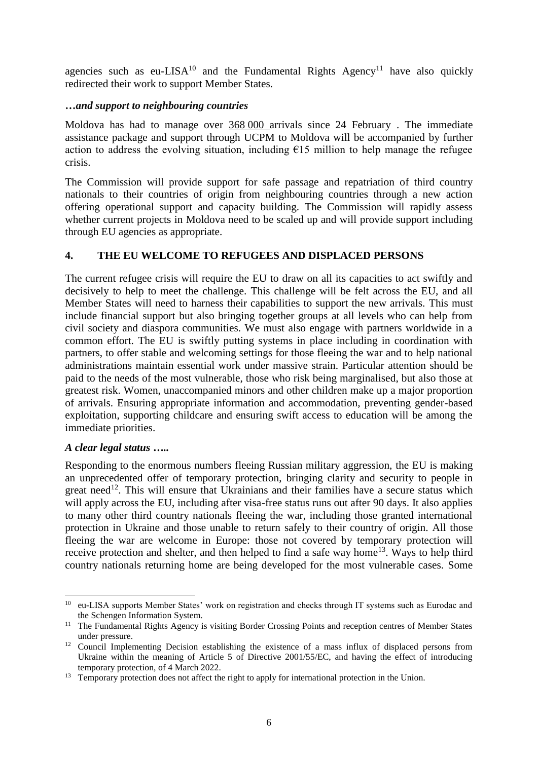agencies such as eu-LISA<sup>10</sup> and the Fundamental Rights Agency<sup>11</sup> have also quickly redirected their work to support Member States.

### **…***and support to neighbouring countries*

Moldova has had to manage over 368 000 arrivals since 24 February . The immediate assistance package and support through UCPM to Moldova will be accompanied by further action to address the evolving situation, including  $\epsilon$ 15 million to help manage the refugee crisis.

The Commission will provide support for safe passage and repatriation of third country nationals to their countries of origin from neighbouring countries through a new action offering operational support and capacity building. The Commission will rapidly assess whether current projects in Moldova need to be scaled up and will provide support including through EU agencies as appropriate.

# **4. THE EU WELCOME TO REFUGEES AND DISPLACED PERSONS**

The current refugee crisis will require the EU to draw on all its capacities to act swiftly and decisively to help to meet the challenge. This challenge will be felt across the EU, and all Member States will need to harness their capabilities to support the new arrivals. This must include financial support but also bringing together groups at all levels who can help from civil society and diaspora communities. We must also engage with partners worldwide in a common effort. The EU is swiftly putting systems in place including in coordination with partners, to offer stable and welcoming settings for those fleeing the war and to help national administrations maintain essential work under massive strain. Particular attention should be paid to the needs of the most vulnerable, those who risk being marginalised, but also those at greatest risk. Women, unaccompanied minors and other children make up a major proportion of arrivals. Ensuring appropriate information and accommodation, preventing gender-based exploitation, supporting childcare and ensuring swift access to education will be among the immediate priorities.

#### *A clear legal status …..*

1

Responding to the enormous numbers fleeing Russian military aggression, the EU is making an unprecedented offer of temporary protection, bringing clarity and security to people in great need<sup>12</sup>. This will ensure that Ukrainians and their families have a secure status which will apply across the EU, including after visa-free status runs out after 90 days. It also applies to many other third country nationals fleeing the war, including those granted international protection in Ukraine and those unable to return safely to their country of origin. All those fleeing the war are welcome in Europe: those not covered by temporary protection will receive protection and shelter, and then helped to find a safe way home<sup>13</sup>. Ways to help third country nationals returning home are being developed for the most vulnerable cases. Some

<sup>&</sup>lt;sup>10</sup> eu-LISA supports Member States' work on registration and checks through IT systems such as Eurodac and the Schengen Information System.

<sup>&</sup>lt;sup>11</sup> The Fundamental Rights Agency is visiting Border Crossing Points and reception centres of Member States under pressure.

<sup>&</sup>lt;sup>12</sup> Council Implementing Decision establishing the existence of a mass influx of displaced persons from Ukraine within the meaning of Article 5 of Directive 2001/55/EC, and having the effect of introducing temporary protection, of 4 March 2022.

<sup>&</sup>lt;sup>13</sup> Temporary protection does not affect the right to apply for international protection in the Union.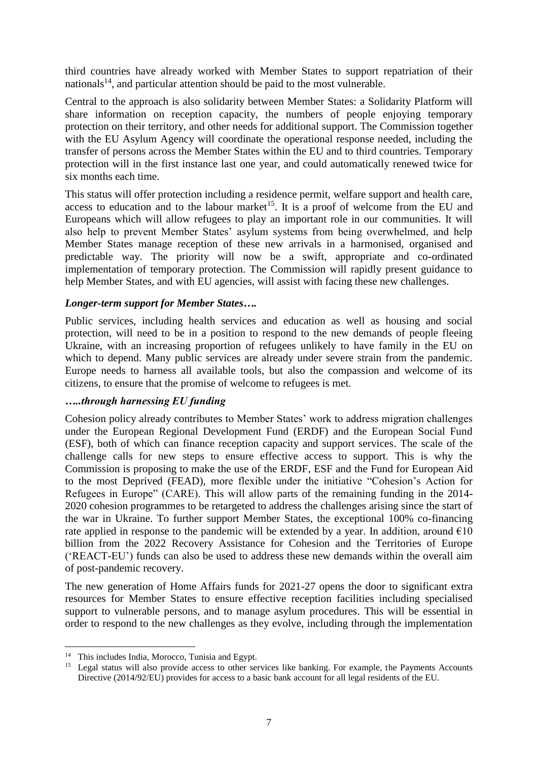third countries have already worked with Member States to support repatriation of their nationals<sup>14</sup>, and particular attention should be paid to the most vulnerable.

Central to the approach is also solidarity between Member States: a Solidarity Platform will share information on reception capacity, the numbers of people enjoying temporary protection on their territory, and other needs for additional support. The Commission together with the EU Asylum Agency will coordinate the operational response needed, including the transfer of persons across the Member States within the EU and to third countries. Temporary protection will in the first instance last one year, and could automatically renewed twice for six months each time.

This status will offer protection including a residence permit, welfare support and health care, access to education and to the labour market<sup>15</sup>. It is a proof of welcome from the EU and Europeans which will allow refugees to play an important role in our communities. It will also help to prevent Member States' asylum systems from being overwhelmed, and help Member States manage reception of these new arrivals in a harmonised, organised and predictable way. The priority will now be a swift, appropriate and co-ordinated implementation of temporary protection. The Commission will rapidly present guidance to help Member States, and with EU agencies, will assist with facing these new challenges.

#### *Longer-term support for Member States….*

Public services, including health services and education as well as housing and social protection, will need to be in a position to respond to the new demands of people fleeing Ukraine, with an increasing proportion of refugees unlikely to have family in the EU on which to depend. Many public services are already under severe strain from the pandemic. Europe needs to harness all available tools, but also the compassion and welcome of its citizens, to ensure that the promise of welcome to refugees is met.

#### *…..through harnessing EU funding*

Cohesion policy already contributes to Member States' work to address migration challenges under the European Regional Development Fund (ERDF) and the European Social Fund (ESF), both of which can finance reception capacity and support services. The scale of the challenge calls for new steps to ensure effective access to support. This is why the Commission is proposing to make the use of the ERDF, ESF and the Fund for European Aid to the most Deprived (FEAD), more flexible under the initiative "Cohesion's Action for Refugees in Europe" (CARE). This will allow parts of the remaining funding in the 2014- 2020 cohesion programmes to be retargeted to address the challenges arising since the start of the war in Ukraine. To further support Member States, the exceptional 100% co-financing rate applied in response to the pandemic will be extended by a year. In addition, around  $\epsilon$ 10 billion from the 2022 Recovery Assistance for Cohesion and the Territories of Europe ('REACT-EU') funds can also be used to address these new demands within the overall aim of post-pandemic recovery.

The new generation of Home Affairs funds for 2021-27 opens the door to significant extra resources for Member States to ensure effective reception facilities including specialised support to vulnerable persons, and to manage asylum procedures. This will be essential in order to respond to the new challenges as they evolve, including through the implementation

**.** 

<sup>&</sup>lt;sup>14</sup> This includes India, Morocco, Tunisia and Egypt.

<sup>&</sup>lt;sup>15</sup> Legal status will also provide access to other services like banking. For example, the Payments Accounts Directive (2014/92/EU) provides for access to a basic bank account for all legal residents of the EU.